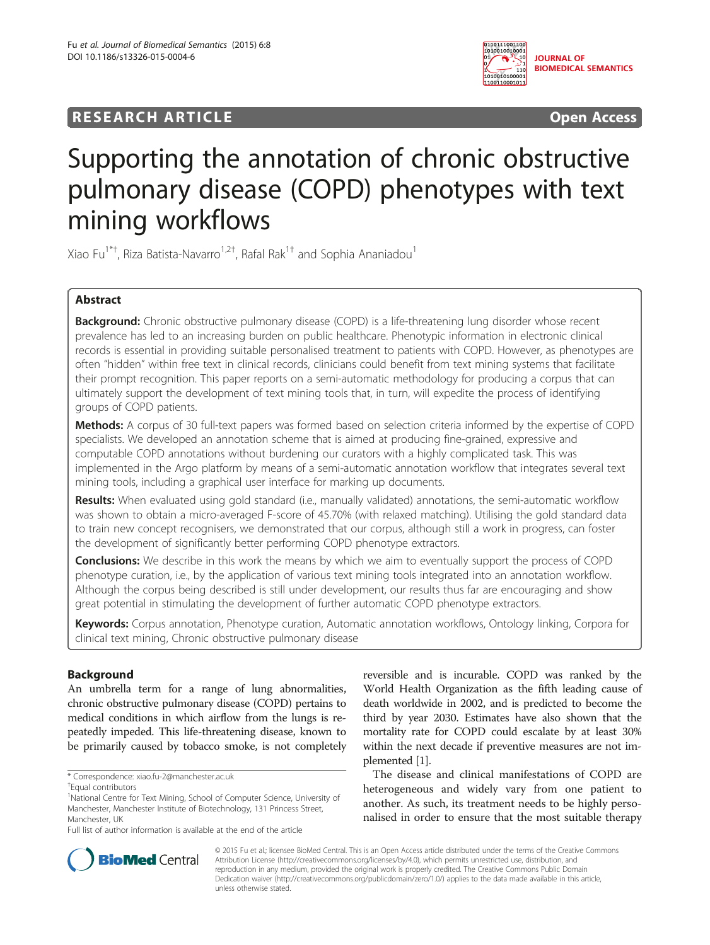# **RESEARCH ARTICLE Example 2014 CONSIDERING CONSIDERING CONSIDERING CONSIDERING CONSIDERING CONSIDERING CONSIDERING CONSIDERING CONSIDERING CONSIDERING CONSIDERING CONSIDERING CONSIDERING CONSIDERING CONSIDERING CONSIDE**



# Supporting the annotation of chronic obstructive pulmonary disease (COPD) phenotypes with text mining workflows

Xiao Fu<sup>1\*†</sup>, Riza Batista-Navarro<sup>1,2†</sup>, Rafal Rak<sup>1†</sup> and Sophia Ananiadou<sup>1</sup>

# Abstract

Background: Chronic obstructive pulmonary disease (COPD) is a life-threatening lung disorder whose recent prevalence has led to an increasing burden on public healthcare. Phenotypic information in electronic clinical records is essential in providing suitable personalised treatment to patients with COPD. However, as phenotypes are often "hidden" within free text in clinical records, clinicians could benefit from text mining systems that facilitate their prompt recognition. This paper reports on a semi-automatic methodology for producing a corpus that can ultimately support the development of text mining tools that, in turn, will expedite the process of identifying groups of COPD patients.

Methods: A corpus of 30 full-text papers was formed based on selection criteria informed by the expertise of COPD specialists. We developed an annotation scheme that is aimed at producing fine-grained, expressive and computable COPD annotations without burdening our curators with a highly complicated task. This was implemented in the Argo platform by means of a semi-automatic annotation workflow that integrates several text mining tools, including a graphical user interface for marking up documents.

Results: When evaluated using gold standard (i.e., manually validated) annotations, the semi-automatic workflow was shown to obtain a micro-averaged F-score of 45.70% (with relaxed matching). Utilising the gold standard data to train new concept recognisers, we demonstrated that our corpus, although still a work in progress, can foster the development of significantly better performing COPD phenotype extractors.

**Conclusions:** We describe in this work the means by which we aim to eventually support the process of COPD phenotype curation, i.e., by the application of various text mining tools integrated into an annotation workflow. Although the corpus being described is still under development, our results thus far are encouraging and show great potential in stimulating the development of further automatic COPD phenotype extractors.

Keywords: Corpus annotation, Phenotype curation, Automatic annotation workflows, Ontology linking, Corpora for clinical text mining, Chronic obstructive pulmonary disease

# Background

An umbrella term for a range of lung abnormalities, chronic obstructive pulmonary disease (COPD) pertains to medical conditions in which airflow from the lungs is repeatedly impeded. This life-threatening disease, known to be primarily caused by tobacco smoke, is not completely reversible and is incurable. COPD was ranked by the World Health Organization as the fifth leading cause of death worldwide in 2002, and is predicted to become the third by year 2030. Estimates have also shown that the mortality rate for COPD could escalate by at least 30% within the next decade if preventive measures are not implemented [\[1\]](#page-9-0).

The disease and clinical manifestations of COPD are heterogeneous and widely vary from one patient to another. As such, its treatment needs to be highly personalised in order to ensure that the most suitable therapy



© 2015 Fu et al.; licensee BioMed Central. This is an Open Access article distributed under the terms of the Creative Commons Attribution License (<http://creativecommons.org/licenses/by/4.0>), which permits unrestricted use, distribution, and reproduction in any medium, provided the original work is properly credited. The Creative Commons Public Domain Dedication waiver [\(http://creativecommons.org/publicdomain/zero/1.0/](http://creativecommons.org/publicdomain/zero/1.0/)) applies to the data made available in this article, unless otherwise stated.

<sup>\*</sup> Correspondence: [xiao.fu-2@manchester.ac.uk](mailto:xiao.fu-2@manchester.ac.uk) †

Equal contributors

<sup>&</sup>lt;sup>1</sup>National Centre for Text Mining, School of Computer Science, University of Manchester, Manchester Institute of Biotechnology, 131 Princess Street, Manchester, UK

Full list of author information is available at the end of the article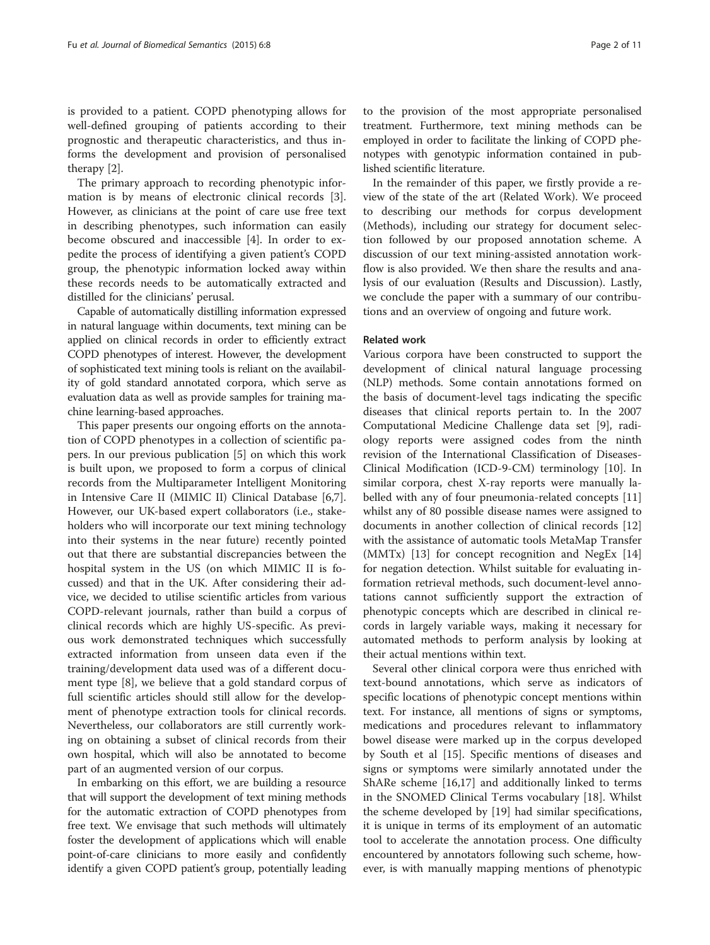is provided to a patient. COPD phenotyping allows for well-defined grouping of patients according to their prognostic and therapeutic characteristics, and thus informs the development and provision of personalised therapy [\[2](#page-9-0)].

The primary approach to recording phenotypic information is by means of electronic clinical records [\[3](#page-9-0)]. However, as clinicians at the point of care use free text in describing phenotypes, such information can easily become obscured and inaccessible [[4\]](#page-9-0). In order to expedite the process of identifying a given patient's COPD group, the phenotypic information locked away within these records needs to be automatically extracted and distilled for the clinicians' perusal.

Capable of automatically distilling information expressed in natural language within documents, text mining can be applied on clinical records in order to efficiently extract COPD phenotypes of interest. However, the development of sophisticated text mining tools is reliant on the availability of gold standard annotated corpora, which serve as evaluation data as well as provide samples for training machine learning-based approaches.

This paper presents our ongoing efforts on the annotation of COPD phenotypes in a collection of scientific papers. In our previous publication [[5\]](#page-9-0) on which this work is built upon, we proposed to form a corpus of clinical records from the Multiparameter Intelligent Monitoring in Intensive Care II (MIMIC II) Clinical Database [\[6,7](#page-9-0)]. However, our UK-based expert collaborators (i.e., stakeholders who will incorporate our text mining technology into their systems in the near future) recently pointed out that there are substantial discrepancies between the hospital system in the US (on which MIMIC II is focussed) and that in the UK. After considering their advice, we decided to utilise scientific articles from various COPD-relevant journals, rather than build a corpus of clinical records which are highly US-specific. As previous work demonstrated techniques which successfully extracted information from unseen data even if the training/development data used was of a different document type [[8\]](#page-9-0), we believe that a gold standard corpus of full scientific articles should still allow for the development of phenotype extraction tools for clinical records. Nevertheless, our collaborators are still currently working on obtaining a subset of clinical records from their own hospital, which will also be annotated to become part of an augmented version of our corpus.

In embarking on this effort, we are building a resource that will support the development of text mining methods for the automatic extraction of COPD phenotypes from free text. We envisage that such methods will ultimately foster the development of applications which will enable point-of-care clinicians to more easily and confidently identify a given COPD patient's group, potentially leading

to the provision of the most appropriate personalised treatment. Furthermore, text mining methods can be employed in order to facilitate the linking of COPD phenotypes with genotypic information contained in published scientific literature.

In the remainder of this paper, we firstly provide a review of the state of the art (Related Work). We proceed to describing our methods for corpus development (Methods), including our strategy for document selection followed by our proposed annotation scheme. A discussion of our text mining-assisted annotation workflow is also provided. We then share the results and analysis of our evaluation (Results and Discussion). Lastly, we conclude the paper with a summary of our contributions and an overview of ongoing and future work.

### Related work

Various corpora have been constructed to support the development of clinical natural language processing (NLP) methods. Some contain annotations formed on the basis of document-level tags indicating the specific diseases that clinical reports pertain to. In the 2007 Computational Medicine Challenge data set [\[9](#page-9-0)], radiology reports were assigned codes from the ninth revision of the International Classification of Diseases-Clinical Modification (ICD-9-CM) terminology [\[10\]](#page-9-0). In similar corpora, chest X-ray reports were manually labelled with any of four pneumonia-related concepts [[11](#page-9-0)] whilst any of 80 possible disease names were assigned to documents in another collection of clinical records [[12](#page-9-0)] with the assistance of automatic tools MetaMap Transfer (MMTx) [\[13\]](#page-9-0) for concept recognition and NegEx [[14](#page-9-0)] for negation detection. Whilst suitable for evaluating information retrieval methods, such document-level annotations cannot sufficiently support the extraction of phenotypic concepts which are described in clinical records in largely variable ways, making it necessary for automated methods to perform analysis by looking at their actual mentions within text.

Several other clinical corpora were thus enriched with text-bound annotations, which serve as indicators of specific locations of phenotypic concept mentions within text. For instance, all mentions of signs or symptoms, medications and procedures relevant to inflammatory bowel disease were marked up in the corpus developed by South et al [[15\]](#page-9-0). Specific mentions of diseases and signs or symptoms were similarly annotated under the ShARe scheme [\[16,17\]](#page-9-0) and additionally linked to terms in the SNOMED Clinical Terms vocabulary [[18\]](#page-9-0). Whilst the scheme developed by [[19](#page-9-0)] had similar specifications, it is unique in terms of its employment of an automatic tool to accelerate the annotation process. One difficulty encountered by annotators following such scheme, however, is with manually mapping mentions of phenotypic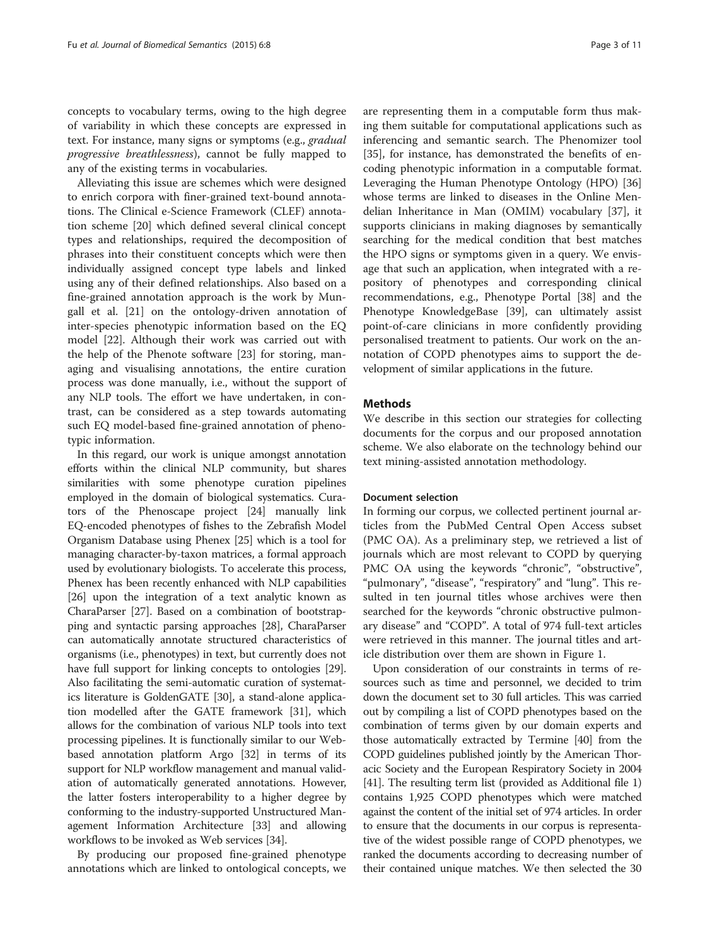concepts to vocabulary terms, owing to the high degree of variability in which these concepts are expressed in text. For instance, many signs or symptoms (e.g., gradual progressive breathlessness), cannot be fully mapped to any of the existing terms in vocabularies.

Alleviating this issue are schemes which were designed to enrich corpora with finer-grained text-bound annotations. The Clinical e-Science Framework (CLEF) annotation scheme [[20](#page-9-0)] which defined several clinical concept types and relationships, required the decomposition of phrases into their constituent concepts which were then individually assigned concept type labels and linked using any of their defined relationships. Also based on a fine-grained annotation approach is the work by Mungall et al. [\[21\]](#page-9-0) on the ontology-driven annotation of inter-species phenotypic information based on the EQ model [[22\]](#page-9-0). Although their work was carried out with the help of the Phenote software [[23\]](#page-9-0) for storing, managing and visualising annotations, the entire curation process was done manually, i.e., without the support of any NLP tools. The effort we have undertaken, in contrast, can be considered as a step towards automating such EQ model-based fine-grained annotation of phenotypic information.

In this regard, our work is unique amongst annotation efforts within the clinical NLP community, but shares similarities with some phenotype curation pipelines employed in the domain of biological systematics. Curators of the Phenoscape project [\[24\]](#page-9-0) manually link EQ-encoded phenotypes of fishes to the Zebrafish Model Organism Database using Phenex [[25](#page-9-0)] which is a tool for managing character-by-taxon matrices, a formal approach used by evolutionary biologists. To accelerate this process, Phenex has been recently enhanced with NLP capabilities [[26](#page-9-0)] upon the integration of a text analytic known as CharaParser [[27](#page-9-0)]. Based on a combination of bootstrapping and syntactic parsing approaches [[28](#page-9-0)], CharaParser can automatically annotate structured characteristics of organisms (i.e., phenotypes) in text, but currently does not have full support for linking concepts to ontologies [[29](#page-9-0)]. Also facilitating the semi-automatic curation of systematics literature is GoldenGATE [\[30\]](#page-9-0), a stand-alone application modelled after the GATE framework [\[31\]](#page-9-0), which allows for the combination of various NLP tools into text processing pipelines. It is functionally similar to our Webbased annotation platform Argo [\[32\]](#page-9-0) in terms of its support for NLP workflow management and manual validation of automatically generated annotations. However, the latter fosters interoperability to a higher degree by conforming to the industry-supported Unstructured Management Information Architecture [[33](#page-9-0)] and allowing workflows to be invoked as Web services [\[34\]](#page-9-0).

By producing our proposed fine-grained phenotype annotations which are linked to ontological concepts, we are representing them in a computable form thus making them suitable for computational applications such as inferencing and semantic search. The Phenomizer tool [[35\]](#page-10-0), for instance, has demonstrated the benefits of encoding phenotypic information in a computable format. Leveraging the Human Phenotype Ontology (HPO) [[36](#page-10-0)] whose terms are linked to diseases in the Online Mendelian Inheritance in Man (OMIM) vocabulary [\[37\]](#page-10-0), it supports clinicians in making diagnoses by semantically searching for the medical condition that best matches the HPO signs or symptoms given in a query. We envisage that such an application, when integrated with a repository of phenotypes and corresponding clinical recommendations, e.g., Phenotype Portal [\[38](#page-10-0)] and the Phenotype KnowledgeBase [[39](#page-10-0)], can ultimately assist point-of-care clinicians in more confidently providing personalised treatment to patients. Our work on the annotation of COPD phenotypes aims to support the development of similar applications in the future.

#### **Methods**

We describe in this section our strategies for collecting documents for the corpus and our proposed annotation scheme. We also elaborate on the technology behind our text mining-assisted annotation methodology.

#### Document selection

In forming our corpus, we collected pertinent journal articles from the PubMed Central Open Access subset (PMC OA). As a preliminary step, we retrieved a list of journals which are most relevant to COPD by querying PMC OA using the keywords "chronic", "obstructive", "pulmonary", "disease", "respiratory" and "lung". This resulted in ten journal titles whose archives were then searched for the keywords "chronic obstructive pulmonary disease" and "COPD". A total of 974 full-text articles were retrieved in this manner. The journal titles and article distribution over them are shown in Figure [1](#page-3-0).

Upon consideration of our constraints in terms of resources such as time and personnel, we decided to trim down the document set to 30 full articles. This was carried out by compiling a list of COPD phenotypes based on the combination of terms given by our domain experts and those automatically extracted by Termine [[40](#page-10-0)] from the COPD guidelines published jointly by the American Thoracic Society and the European Respiratory Society in 2004 [[41](#page-10-0)]. The resulting term list (provided as Additional file [1](#page-9-0)) contains 1,925 COPD phenotypes which were matched against the content of the initial set of 974 articles. In order to ensure that the documents in our corpus is representative of the widest possible range of COPD phenotypes, we ranked the documents according to decreasing number of their contained unique matches. We then selected the 30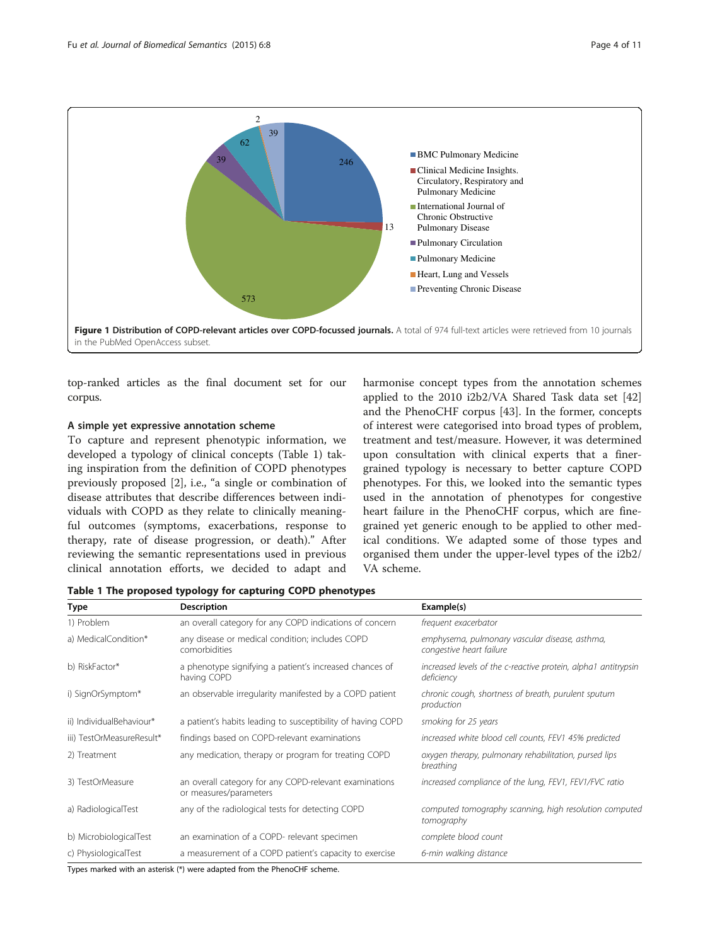<span id="page-3-0"></span>

top-ranked articles as the final document set for our corpus.

## A simple yet expressive annotation scheme

To capture and represent phenotypic information, we developed a typology of clinical concepts (Table 1) taking inspiration from the definition of COPD phenotypes previously proposed [\[2](#page-9-0)], i.e., "a single or combination of disease attributes that describe differences between individuals with COPD as they relate to clinically meaningful outcomes (symptoms, exacerbations, response to therapy, rate of disease progression, or death)." After reviewing the semantic representations used in previous clinical annotation efforts, we decided to adapt and

harmonise concept types from the annotation schemes applied to the 2010 i2b2/VA Shared Task data set [[42](#page-10-0)] and the PhenoCHF corpus [\[43](#page-10-0)]. In the former, concepts of interest were categorised into broad types of problem, treatment and test/measure. However, it was determined upon consultation with clinical experts that a finergrained typology is necessary to better capture COPD phenotypes. For this, we looked into the semantic types used in the annotation of phenotypes for congestive heart failure in the PhenoCHF corpus, which are finegrained yet generic enough to be applied to other medical conditions. We adapted some of those types and organised them under the upper-level types of the i2b2/ VA scheme.

Table 1 The proposed typology for capturing COPD phenotypes

| <b>Type</b>               | <b>Description</b>                                                               | Example(s)                                                                   |  |  |
|---------------------------|----------------------------------------------------------------------------------|------------------------------------------------------------------------------|--|--|
| 1) Problem                | an overall category for any COPD indications of concern                          | frequent exacerbator                                                         |  |  |
| a) MedicalCondition*      | any disease or medical condition; includes COPD<br>comorbidities                 | emphysema, pulmonary vascular disease, asthma,<br>congestive heart failure   |  |  |
| b) RiskFactor*            | a phenotype signifying a patient's increased chances of<br>having COPD           | increased levels of the c-reactive protein, alpha1 antitrypsin<br>deficiency |  |  |
| i) SignOrSymptom*         | an observable irregularity manifested by a COPD patient                          | chronic cough, shortness of breath, purulent sputum<br>production            |  |  |
| ii) IndividualBehaviour*  | a patient's habits leading to susceptibility of having COPD                      | smoking for 25 years                                                         |  |  |
| iii) TestOrMeasureResult* | findings based on COPD-relevant examinations                                     | increased white blood cell counts, FEV1 45% predicted                        |  |  |
| 2) Treatment              | any medication, therapy or program for treating COPD                             | oxygen therapy, pulmonary rehabilitation, pursed lips<br>breathing           |  |  |
| 3) TestOrMeasure          | an overall category for any COPD-relevant examinations<br>or measures/parameters | increased compliance of the lung, FEV1, FEV1/FVC ratio                       |  |  |
| a) RadiologicalTest       | any of the radiological tests for detecting COPD                                 | computed tomography scanning, high resolution computed<br>tomography         |  |  |
| b) MicrobiologicalTest    | an examination of a COPD- relevant specimen                                      | complete blood count                                                         |  |  |
| c) PhysiologicalTest      | a measurement of a COPD patient's capacity to exercise                           | 6-min walking distance                                                       |  |  |

Types marked with an asterisk (\*) were adapted from the PhenoCHF scheme.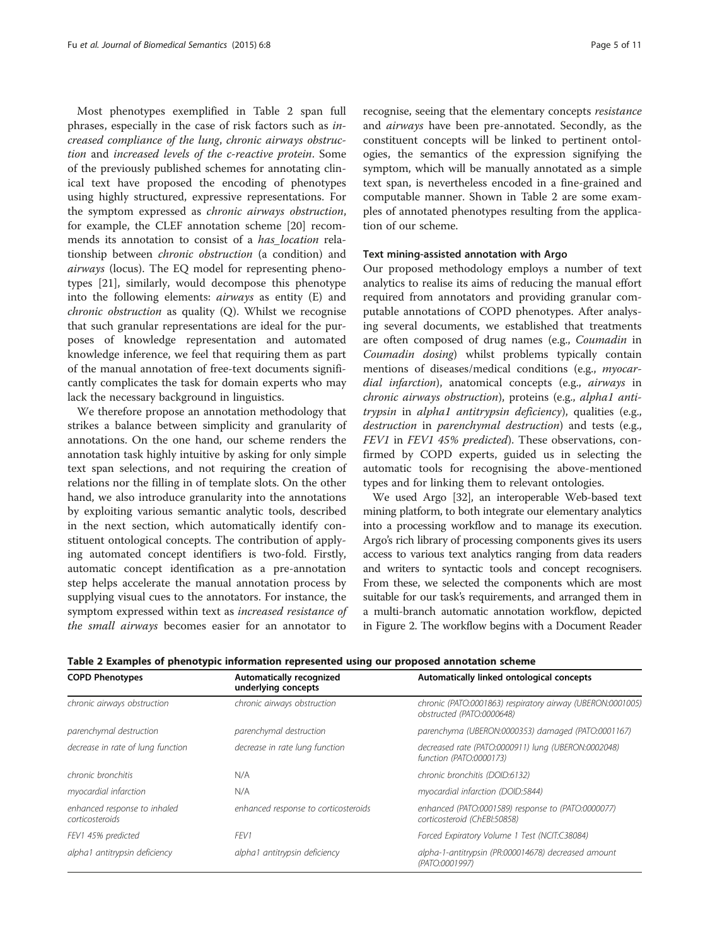<span id="page-4-0"></span>Most phenotypes exemplified in Table 2 span full phrases, especially in the case of risk factors such as increased compliance of the lung, chronic airways obstruction and increased levels of the c-reactive protein. Some of the previously published schemes for annotating clinical text have proposed the encoding of phenotypes using highly structured, expressive representations. For the symptom expressed as chronic airways obstruction, for example, the CLEF annotation scheme [[20\]](#page-9-0) recommends its annotation to consist of a has\_location relationship between chronic obstruction (a condition) and airways (locus). The EQ model for representing phenotypes [[21\]](#page-9-0), similarly, would decompose this phenotype into the following elements: airways as entity (E) and  $$ that such granular representations are ideal for the purposes of knowledge representation and automated knowledge inference, we feel that requiring them as part of the manual annotation of free-text documents significantly complicates the task for domain experts who may lack the necessary background in linguistics.

We therefore propose an annotation methodology that strikes a balance between simplicity and granularity of annotations. On the one hand, our scheme renders the annotation task highly intuitive by asking for only simple text span selections, and not requiring the creation of relations nor the filling in of template slots. On the other hand, we also introduce granularity into the annotations by exploiting various semantic analytic tools, described in the next section, which automatically identify constituent ontological concepts. The contribution of applying automated concept identifiers is two-fold. Firstly, automatic concept identification as a pre-annotation step helps accelerate the manual annotation process by supplying visual cues to the annotators. For instance, the symptom expressed within text as increased resistance of the small airways becomes easier for an annotator to

recognise, seeing that the elementary concepts resistance and airways have been pre-annotated. Secondly, as the constituent concepts will be linked to pertinent ontologies, the semantics of the expression signifying the symptom, which will be manually annotated as a simple text span, is nevertheless encoded in a fine-grained and computable manner. Shown in Table 2 are some examples of annotated phenotypes resulting from the application of our scheme.

#### Text mining-assisted annotation with Argo

Our proposed methodology employs a number of text analytics to realise its aims of reducing the manual effort required from annotators and providing granular computable annotations of COPD phenotypes. After analysing several documents, we established that treatments are often composed of drug names (e.g., Coumadin in Coumadin dosing) whilst problems typically contain mentions of diseases/medical conditions (e.g., myocardial infarction), anatomical concepts (e.g., airways in chronic airways obstruction), proteins (e.g., alpha1 antitrypsin in alpha1 antitrypsin deficiency), qualities (e.g., destruction in parenchymal destruction) and tests (e.g., FEV1 in FEV1 45% predicted). These observations, confirmed by COPD experts, guided us in selecting the automatic tools for recognising the above-mentioned types and for linking them to relevant ontologies.

We used Argo [[32](#page-9-0)], an interoperable Web-based text mining platform, to both integrate our elementary analytics into a processing workflow and to manage its execution. Argo's rich library of processing components gives its users access to various text analytics ranging from data readers and writers to syntactic tools and concept recognisers. From these, we selected the components which are most suitable for our task's requirements, and arranged them in a multi-branch automatic annotation workflow, depicted in Figure [2.](#page-5-0) The workflow begins with a Document Reader

| <b>COPD Phenotypes</b>                                                                  | Automatically recognized<br>underlying concepts | Automatically linked ontological concepts                                               |  |  |
|-----------------------------------------------------------------------------------------|-------------------------------------------------|-----------------------------------------------------------------------------------------|--|--|
| chronic airways obstruction                                                             | chronic airways obstruction                     | chronic (PATO:0001863) respiratory airway (UBERON:0001005)<br>obstructed (PATO:0000648) |  |  |
| parenchymal destruction                                                                 | parenchymal destruction                         | parenchyma (UBERON:0000353) damaged (PATO:0001167)                                      |  |  |
| decrease in rate of lung function                                                       | decrease in rate lung function                  | decreased rate (PATO:0000911) lung (UBERON:0002048)<br>function (PATO:0000173)          |  |  |
| chronic bronchitis                                                                      | N/A                                             | chronic bronchitis (DOID:6132)                                                          |  |  |
| myocardial infarction<br>N/A                                                            |                                                 | myocardial infarction (DOID:5844)                                                       |  |  |
| enhanced response to inhaled<br>enhanced response to corticosteroids<br>corticosteroids |                                                 | enhanced (PATO:0001589) response to (PATO:0000077)<br>corticosteroid (ChEBI:50858)      |  |  |
| FEV1 45% predicted                                                                      | FFV1                                            | Forced Expiratory Volume 1 Test (NCIT:C38084)                                           |  |  |
| alpha1 antitrypsin deficiency<br>alpha1 antitrypsin deficiency                          |                                                 | alpha-1-antitrypsin (PR:000014678) decreased amount<br>(PATO:0001997)                   |  |  |

Table 2 Examples of phenotypic information represented using our proposed annotation scheme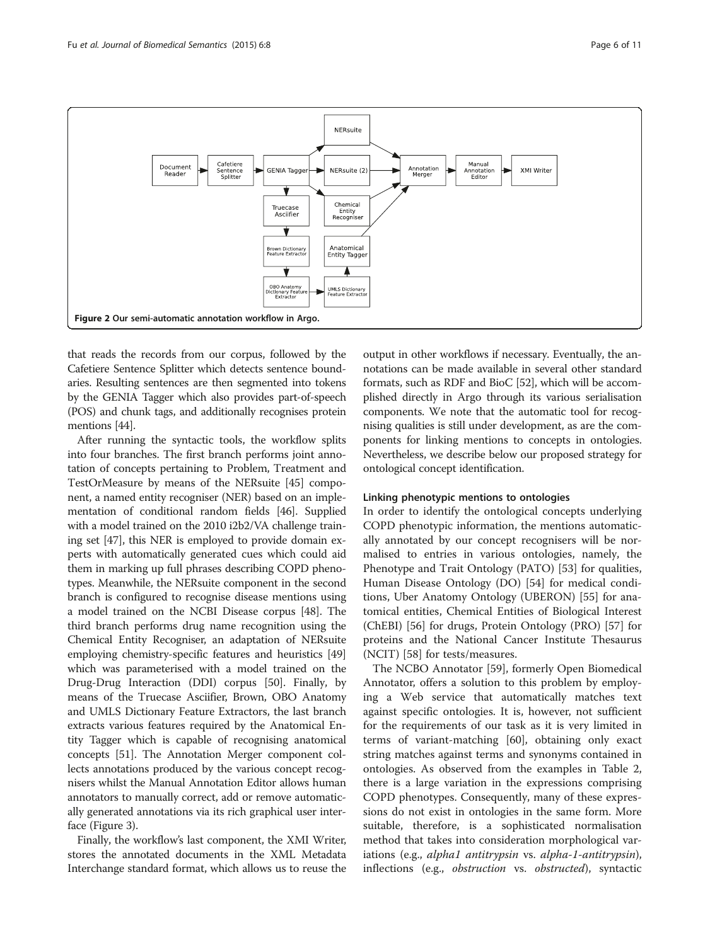<span id="page-5-0"></span>

that reads the records from our corpus, followed by the Cafetiere Sentence Splitter which detects sentence boundaries. Resulting sentences are then segmented into tokens by the GENIA Tagger which also provides part-of-speech (POS) and chunk tags, and additionally recognises protein mentions [\[44\]](#page-10-0).

After running the syntactic tools, the workflow splits into four branches. The first branch performs joint annotation of concepts pertaining to Problem, Treatment and TestOrMeasure by means of the NERsuite [\[45](#page-10-0)] component, a named entity recogniser (NER) based on an implementation of conditional random fields [\[46\]](#page-10-0). Supplied with a model trained on the 2010 i2b2/VA challenge training set [\[47\]](#page-10-0), this NER is employed to provide domain experts with automatically generated cues which could aid them in marking up full phrases describing COPD phenotypes. Meanwhile, the NERsuite component in the second branch is configured to recognise disease mentions using a model trained on the NCBI Disease corpus [\[48](#page-10-0)]. The third branch performs drug name recognition using the Chemical Entity Recogniser, an adaptation of NERsuite employing chemistry-specific features and heuristics [[49](#page-10-0)] which was parameterised with a model trained on the Drug-Drug Interaction (DDI) corpus [[50](#page-10-0)]. Finally, by means of the Truecase Asciifier, Brown, OBO Anatomy and UMLS Dictionary Feature Extractors, the last branch extracts various features required by the Anatomical Entity Tagger which is capable of recognising anatomical concepts [[51](#page-10-0)]. The Annotation Merger component collects annotations produced by the various concept recognisers whilst the Manual Annotation Editor allows human annotators to manually correct, add or remove automatically generated annotations via its rich graphical user interface (Figure [3\)](#page-6-0).

Finally, the workflow's last component, the XMI Writer, stores the annotated documents in the XML Metadata Interchange standard format, which allows us to reuse the

output in other workflows if necessary. Eventually, the annotations can be made available in several other standard formats, such as RDF and BioC [\[52\]](#page-10-0), which will be accomplished directly in Argo through its various serialisation components. We note that the automatic tool for recognising qualities is still under development, as are the components for linking mentions to concepts in ontologies. Nevertheless, we describe below our proposed strategy for ontological concept identification.

#### Linking phenotypic mentions to ontologies

In order to identify the ontological concepts underlying COPD phenotypic information, the mentions automatically annotated by our concept recognisers will be normalised to entries in various ontologies, namely, the Phenotype and Trait Ontology (PATO) [[53](#page-10-0)] for qualities, Human Disease Ontology (DO) [\[54](#page-10-0)] for medical conditions, Uber Anatomy Ontology (UBERON) [\[55](#page-10-0)] for anatomical entities, Chemical Entities of Biological Interest (ChEBI) [\[56\]](#page-10-0) for drugs, Protein Ontology (PRO) [[57](#page-10-0)] for proteins and the National Cancer Institute Thesaurus (NCIT) [\[58](#page-10-0)] for tests/measures.

The NCBO Annotator [\[59](#page-10-0)], formerly Open Biomedical Annotator, offers a solution to this problem by employing a Web service that automatically matches text against specific ontologies. It is, however, not sufficient for the requirements of our task as it is very limited in terms of variant-matching [[60](#page-10-0)], obtaining only exact string matches against terms and synonyms contained in ontologies. As observed from the examples in Table [2](#page-4-0), there is a large variation in the expressions comprising COPD phenotypes. Consequently, many of these expressions do not exist in ontologies in the same form. More suitable, therefore, is a sophisticated normalisation method that takes into consideration morphological variations (e.g., alpha1 antitrypsin vs. alpha-1-antitrypsin), inflections (e.g., obstruction vs. obstructed), syntactic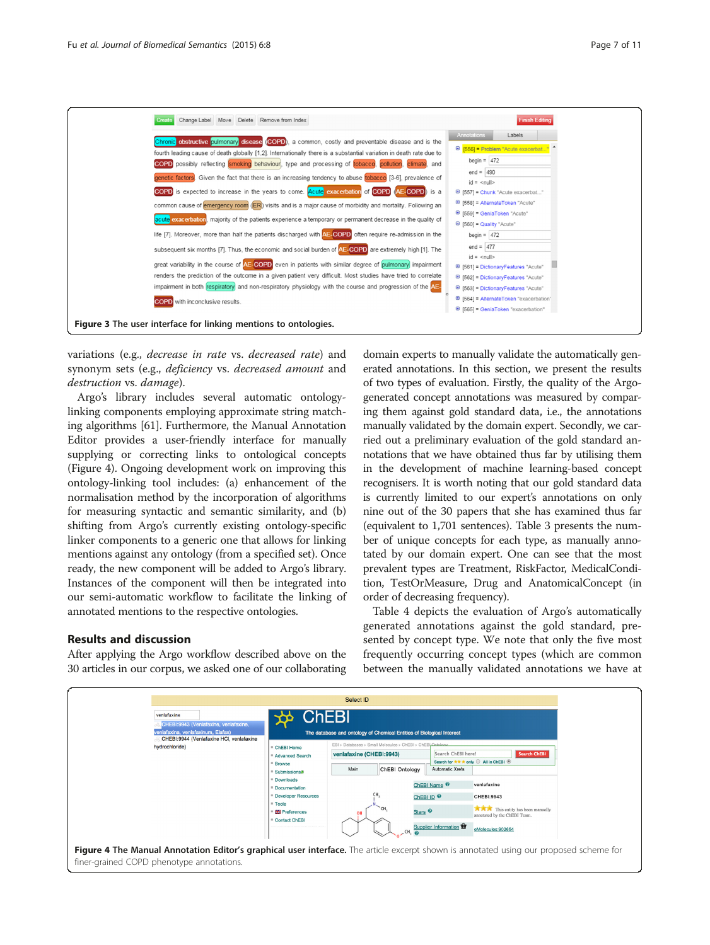<span id="page-6-0"></span>

variations (e.g., decrease in rate vs. decreased rate) and synonym sets (e.g., deficiency vs. decreased amount and destruction vs. damage).

Argo's library includes several automatic ontologylinking components employing approximate string matching algorithms [\[61\]](#page-10-0). Furthermore, the Manual Annotation Editor provides a user-friendly interface for manually supplying or correcting links to ontological concepts (Figure 4). Ongoing development work on improving this ontology-linking tool includes: (a) enhancement of the normalisation method by the incorporation of algorithms for measuring syntactic and semantic similarity, and (b) shifting from Argo's currently existing ontology-specific linker components to a generic one that allows for linking mentions against any ontology (from a specified set). Once ready, the new component will be added to Argo's library. Instances of the component will then be integrated into our semi-automatic workflow to facilitate the linking of annotated mentions to the respective ontologies.

## Results and discussion

After applying the Argo workflow described above on the 30 articles in our corpus, we asked one of our collaborating domain experts to manually validate the automatically generated annotations. In this section, we present the results of two types of evaluation. Firstly, the quality of the Argogenerated concept annotations was measured by comparing them against gold standard data, i.e., the annotations manually validated by the domain expert. Secondly, we carried out a preliminary evaluation of the gold standard annotations that we have obtained thus far by utilising them in the development of machine learning-based concept recognisers. It is worth noting that our gold standard data is currently limited to our expert's annotations on only nine out of the 30 papers that she has examined thus far (equivalent to 1,701 sentences). Table [3](#page-7-0) presents the number of unique concepts for each type, as manually annotated by our domain expert. One can see that the most prevalent types are Treatment, RiskFactor, MedicalCondition, TestOrMeasure, Drug and AnatomicalConcept (in order of decreasing frequency).

Table [4](#page-7-0) depicts the evaluation of Argo's automatically generated annotations against the gold standard, presented by concept type. We note that only the five most frequently occurring concept types (which are common between the manually validated annotations we have at

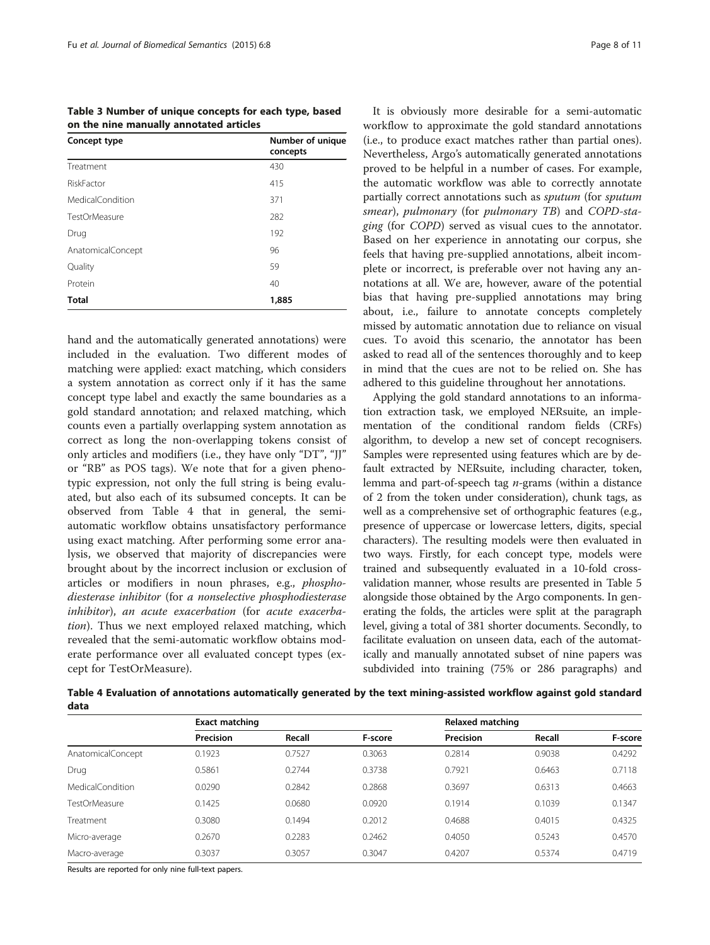<span id="page-7-0"></span>Table 3 Number of unique concepts for each type, based on the nine manually annotated articles

| Concept type      | Number of unique<br>concepts |
|-------------------|------------------------------|
| Treatment         | 430                          |
| RiskFactor        | 415                          |
| MedicalCondition  | 371                          |
| TestOrMeasure     | 282                          |
| Drug              | 192                          |
| AnatomicalConcept | 96                           |
| Quality           | 59                           |
| Protein           | 40                           |
| <b>Total</b>      | 1,885                        |

hand and the automatically generated annotations) were included in the evaluation. Two different modes of matching were applied: exact matching, which considers a system annotation as correct only if it has the same concept type label and exactly the same boundaries as a gold standard annotation; and relaxed matching, which counts even a partially overlapping system annotation as correct as long the non-overlapping tokens consist of only articles and modifiers (i.e., they have only "DT", "JJ" or "RB" as POS tags). We note that for a given phenotypic expression, not only the full string is being evaluated, but also each of its subsumed concepts. It can be observed from Table 4 that in general, the semiautomatic workflow obtains unsatisfactory performance using exact matching. After performing some error analysis, we observed that majority of discrepancies were brought about by the incorrect inclusion or exclusion of articles or modifiers in noun phrases, e.g., phosphodiesterase inhibitor (for a nonselective phosphodiesterase inhibitor), an acute exacerbation (for acute exacerbation). Thus we next employed relaxed matching, which revealed that the semi-automatic workflow obtains moderate performance over all evaluated concept types (except for TestOrMeasure).

It is obviously more desirable for a semi-automatic workflow to approximate the gold standard annotations (i.e., to produce exact matches rather than partial ones). Nevertheless, Argo's automatically generated annotations proved to be helpful in a number of cases. For example, the automatic workflow was able to correctly annotate partially correct annotations such as sputum (for sputum smear), pulmonary (for pulmonary TB) and COPD-staging (for COPD) served as visual cues to the annotator. Based on her experience in annotating our corpus, she feels that having pre-supplied annotations, albeit incomplete or incorrect, is preferable over not having any annotations at all. We are, however, aware of the potential bias that having pre-supplied annotations may bring about, i.e., failure to annotate concepts completely missed by automatic annotation due to reliance on visual cues. To avoid this scenario, the annotator has been asked to read all of the sentences thoroughly and to keep in mind that the cues are not to be relied on. She has adhered to this guideline throughout her annotations.

Applying the gold standard annotations to an information extraction task, we employed NERsuite, an implementation of the conditional random fields (CRFs) algorithm, to develop a new set of concept recognisers. Samples were represented using features which are by default extracted by NERsuite, including character, token, lemma and part-of-speech tag n-grams (within a distance of 2 from the token under consideration), chunk tags, as well as a comprehensive set of orthographic features (e.g., presence of uppercase or lowercase letters, digits, special characters). The resulting models were then evaluated in two ways. Firstly, for each concept type, models were trained and subsequently evaluated in a 10-fold crossvalidation manner, whose results are presented in Table [5](#page-8-0) alongside those obtained by the Argo components. In generating the folds, the articles were split at the paragraph level, giving a total of 381 shorter documents. Secondly, to facilitate evaluation on unseen data, each of the automatically and manually annotated subset of nine papers was subdivided into training (75% or 286 paragraphs) and

Table 4 Evaluation of annotations automatically generated by the text mining-assisted workflow against gold standard data

|                   | <b>Exact matching</b> |        |         | <b>Relaxed matching</b> |        |         |
|-------------------|-----------------------|--------|---------|-------------------------|--------|---------|
|                   | <b>Precision</b>      | Recall | F-score | Precision               | Recall | F-score |
| AnatomicalConcept | 0.1923                | 0.7527 | 0.3063  | 0.2814                  | 0.9038 | 0.4292  |
| Drug              | 0.5861                | 0.2744 | 0.3738  | 0.7921                  | 0.6463 | 0.7118  |
| MedicalCondition  | 0.0290                | 0.2842 | 0.2868  | 0.3697                  | 0.6313 | 0.4663  |
| TestOrMeasure     | 0.1425                | 0.0680 | 0.0920  | 0.1914                  | 0.1039 | 0.1347  |
| Treatment         | 0.3080                | 0.1494 | 0.2012  | 0.4688                  | 0.4015 | 0.4325  |
| Micro-average     | 0.2670                | 0.2283 | 0.2462  | 0.4050                  | 0.5243 | 0.4570  |
| Macro-average     | 0.3037                | 0.3057 | 0.3047  | 0.4207                  | 0.5374 | 0.4719  |

Results are reported for only nine full-text papers.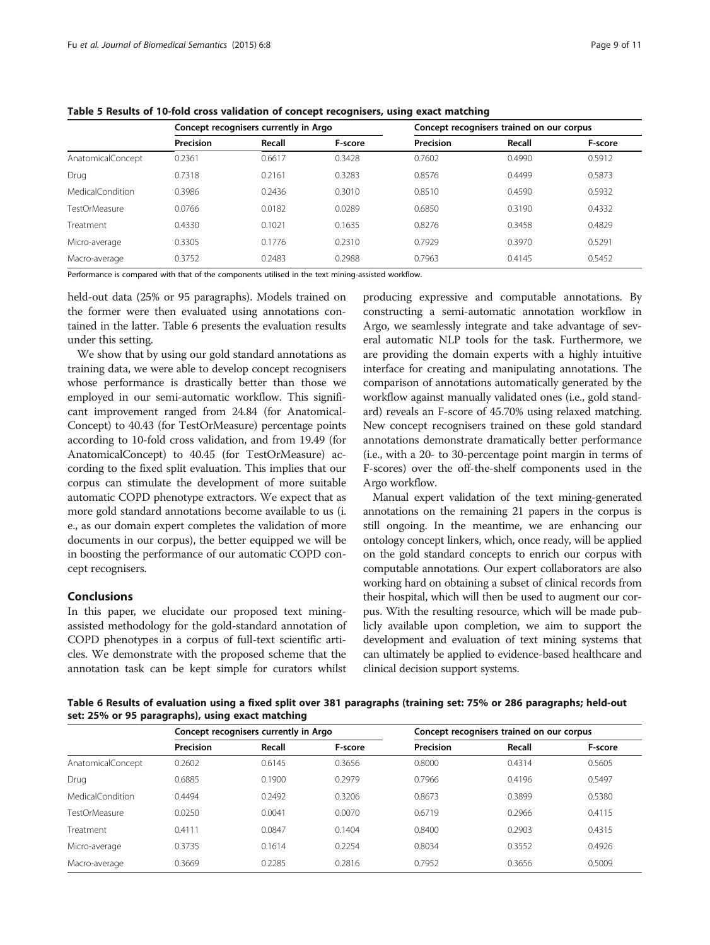|                   | Concept recognisers currently in Argo |        |         | Concept recognisers trained on our corpus |        |         |
|-------------------|---------------------------------------|--------|---------|-------------------------------------------|--------|---------|
|                   | Precision                             | Recall | F-score | Precision                                 | Recall | F-score |
| AnatomicalConcept | 0.2361                                | 0.6617 | 0.3428  | 0.7602                                    | 0.4990 | 0.5912  |
| Drug              | 0.7318                                | 0.2161 | 0.3283  | 0.8576                                    | 0.4499 | 0.5873  |
| MedicalCondition  | 0.3986                                | 0.2436 | 0.3010  | 0.8510                                    | 0.4590 | 0.5932  |
| TestOrMeasure     | 0.0766                                | 0.0182 | 0.0289  | 0.6850                                    | 0.3190 | 0.4332  |
| Treatment         | 0.4330                                | 0.1021 | 0.1635  | 0.8276                                    | 0.3458 | 0.4829  |
| Micro-average     | 0.3305                                | 0.1776 | 0.2310  | 0.7929                                    | 0.3970 | 0.5291  |
| Macro-average     | 0.3752                                | 0.2483 | 0.2988  | 0.7963                                    | 0.4145 | 0.5452  |

<span id="page-8-0"></span>Table 5 Results of 10-fold cross validation of concept recognisers, using exact matching

Performance is compared with that of the components utilised in the text mining-assisted workflow.

held-out data (25% or 95 paragraphs). Models trained on the former were then evaluated using annotations contained in the latter. Table 6 presents the evaluation results under this setting.

We show that by using our gold standard annotations as training data, we were able to develop concept recognisers whose performance is drastically better than those we employed in our semi-automatic workflow. This significant improvement ranged from 24.84 (for Anatomical-Concept) to 40.43 (for TestOrMeasure) percentage points according to 10-fold cross validation, and from 19.49 (for AnatomicalConcept) to 40.45 (for TestOrMeasure) according to the fixed split evaluation. This implies that our corpus can stimulate the development of more suitable automatic COPD phenotype extractors. We expect that as more gold standard annotations become available to us (i. e., as our domain expert completes the validation of more documents in our corpus), the better equipped we will be in boosting the performance of our automatic COPD concept recognisers.

## Conclusions

In this paper, we elucidate our proposed text miningassisted methodology for the gold-standard annotation of COPD phenotypes in a corpus of full-text scientific articles. We demonstrate with the proposed scheme that the annotation task can be kept simple for curators whilst

producing expressive and computable annotations. By constructing a semi-automatic annotation workflow in Argo, we seamlessly integrate and take advantage of several automatic NLP tools for the task. Furthermore, we are providing the domain experts with a highly intuitive interface for creating and manipulating annotations. The comparison of annotations automatically generated by the workflow against manually validated ones (i.e., gold standard) reveals an F-score of 45.70% using relaxed matching. New concept recognisers trained on these gold standard annotations demonstrate dramatically better performance (i.e., with a 20- to 30-percentage point margin in terms of F-scores) over the off-the-shelf components used in the Argo workflow.

Manual expert validation of the text mining-generated annotations on the remaining 21 papers in the corpus is still ongoing. In the meantime, we are enhancing our ontology concept linkers, which, once ready, will be applied on the gold standard concepts to enrich our corpus with computable annotations. Our expert collaborators are also working hard on obtaining a subset of clinical records from their hospital, which will then be used to augment our corpus. With the resulting resource, which will be made publicly available upon completion, we aim to support the development and evaluation of text mining systems that can ultimately be applied to evidence-based healthcare and clinical decision support systems.

Table 6 Results of evaluation using a fixed split over 381 paragraphs (training set: 75% or 286 paragraphs; held-out set: 25% or 95 paragraphs), using exact matching

|                   | Concept recognisers currently in Argo |        |         | Concept recognisers trained on our corpus |        |         |
|-------------------|---------------------------------------|--------|---------|-------------------------------------------|--------|---------|
|                   | Precision                             | Recall | F-score | <b>Precision</b>                          | Recall | F-score |
| AnatomicalConcept | 0.2602                                | 0.6145 | 0.3656  | 0.8000                                    | 0.4314 | 0.5605  |
| Drug              | 0.6885                                | 0.1900 | 0.2979  | 0.7966                                    | 0.4196 | 0.5497  |
| MedicalCondition  | 0.4494                                | 0.2492 | 0.3206  | 0.8673                                    | 0.3899 | 0.5380  |
| TestOrMeasure     | 0.0250                                | 0.0041 | 0.0070  | 0.6719                                    | 0.2966 | 0.4115  |
| Treatment         | 0.4111                                | 0.0847 | 0.1404  | 0.8400                                    | 0.2903 | 0.4315  |
| Micro-average     | 0.3735                                | 0.1614 | 0.2254  | 0.8034                                    | 0.3552 | 0.4926  |
| Macro-average     | 0.3669                                | 0.2285 | 0.2816  | 0.7952                                    | 0.3656 | 0.5009  |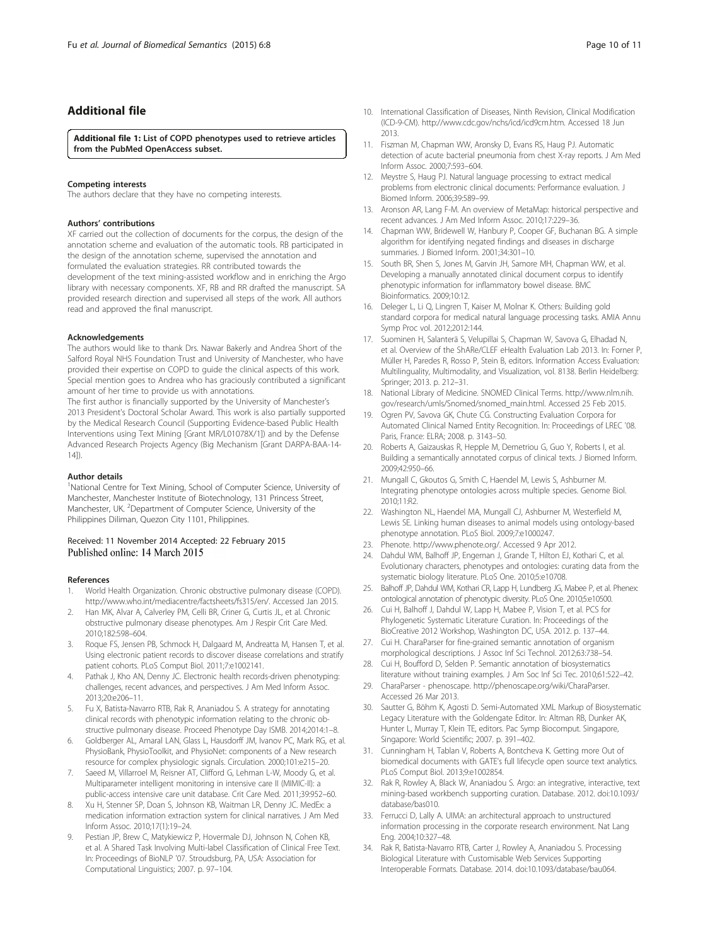# <span id="page-9-0"></span>Additional file

[Additional file 1:](http://www.jbiomedsem.com/content/supplementary/s13326-015-0004-6-s1.txt) List of COPD phenotypes used to retrieve articles from the PubMed OpenAccess subset.

#### Competing interests

The authors declare that they have no competing interests.

#### Authors' contributions

XF carried out the collection of documents for the corpus, the design of the annotation scheme and evaluation of the automatic tools. RB participated in the design of the annotation scheme, supervised the annotation and formulated the evaluation strategies. RR contributed towards the development of the text mining-assisted workflow and in enriching the Argo library with necessary components. XF, RB and RR drafted the manuscript. SA provided research direction and supervised all steps of the work. All authors read and approved the final manuscript.

#### Acknowledgements

The authors would like to thank Drs. Nawar Bakerly and Andrea Short of the Salford Royal NHS Foundation Trust and University of Manchester, who have provided their expertise on COPD to guide the clinical aspects of this work. Special mention goes to Andrea who has graciously contributed a significant amount of her time to provide us with annotations.

The first author is financially supported by the University of Manchester's 2013 President's Doctoral Scholar Award. This work is also partially supported by the Medical Research Council (Supporting Evidence-based Public Health Interventions using Text Mining [Grant MR/L01078X/1]) and by the Defense Advanced Research Projects Agency (Big Mechanism [Grant DARPA-BAA-14- 14]).

#### Author details

<sup>1</sup>National Centre for Text Mining, School of Computer Science, University of Manchester, Manchester Institute of Biotechnology, 131 Princess Street, Manchester, UK. <sup>2</sup>Department of Computer Science, University of the Philippines Diliman, Quezon City 1101, Philippines.

# Received: 11 November 2014 Accepted: 22 February 2015<br>Published online: 14 March 2015

#### References

- 1. World Health Organization. Chronic obstructive pulmonary disease (COPD). [http://www.who.int/mediacentre/factsheets/fs315/en/.](http://www.who.int/mediacentre/factsheets/fs315/en/) Accessed Jan 2015.
- 2. Han MK, Alvar A, Calverley PM, Celli BR, Criner G, Curtis JL, et al. Chronic obstructive pulmonary disease phenotypes. Am J Respir Crit Care Med. 2010;182:598–604.
- 3. Roque FS, Jensen PB, Schmock H, Dalgaard M, Andreatta M, Hansen T, et al. Using electronic patient records to discover disease correlations and stratify patient cohorts. PLoS Comput Biol. 2011;7:e1002141.
- 4. Pathak J, Kho AN, Denny JC. Electronic health records-driven phenotyping: challenges, recent advances, and perspectives. J Am Med Inform Assoc. 2013;20:e206–11.
- 5. Fu X, Batista-Navarro RTB, Rak R, Ananiadou S. A strategy for annotating clinical records with phenotypic information relating to the chronic obstructive pulmonary disease. Proceed Phenotype Day ISMB. 2014;2014:1–8.
- 6. Goldberger AL, Amaral LAN, Glass L, Hausdorff JM, Ivanov PC, Mark RG, et al. PhysioBank, PhysioToolkit, and PhysioNet: components of a New research resource for complex physiologic signals. Circulation. 2000;101:e215–20.
- 7. Saeed M, Villarroel M, Reisner AT, Clifford G, Lehman L-W, Moody G, et al. Multiparameter intelligent monitoring in intensive care II (MIMIC-II): a public-access intensive care unit database. Crit Care Med. 2011;39:952–60.
- 8. Xu H, Stenner SP, Doan S, Johnson KB, Waitman LR, Denny JC. MedEx: a medication information extraction system for clinical narratives. J Am Med Inform Assoc. 2010;17(1):19–24.
- Pestian JP, Brew C, Matykiewicz P, Hovermale DJ, Johnson N, Cohen KB, et al. A Shared Task Involving Multi-label Classification of Clinical Free Text. In: Proceedings of BioNLP '07. Stroudsburg, PA, USA: Association for Computational Linguistics; 2007. p. 97–104.
- 10. International Classification of Diseases, Ninth Revision, Clinical Modification (ICD-9-CM).<http://www.cdc.gov/nchs/icd/icd9cm.htm>. Accessed 18 Jun 2013.
- 11. Fiszman M, Chapman WW, Aronsky D, Evans RS, Haug PJ. Automatic detection of acute bacterial pneumonia from chest X-ray reports. J Am Med Inform Assoc. 2000;7:593–604.
- 12. Meystre S, Haug PJ. Natural language processing to extract medical problems from electronic clinical documents: Performance evaluation. J Biomed Inform. 2006;39:589–99.
- 13. Aronson AR, Lang F-M. An overview of MetaMap: historical perspective and recent advances. J Am Med Inform Assoc. 2010;17:229–36.
- 14. Chapman WW, Bridewell W, Hanbury P, Cooper GF, Buchanan BG. A simple algorithm for identifying negated findings and diseases in discharge summaries. J Biomed Inform. 2001;34:301–10.
- 15. South BR, Shen S, Jones M, Garvin JH, Samore MH, Chapman WW, et al. Developing a manually annotated clinical document corpus to identify phenotypic information for inflammatory bowel disease. BMC Bioinformatics. 2009;10:12.
- 16. Deleger L, Li Q, Lingren T, Kaiser M, Molnar K. Others: Building gold standard corpora for medical natural language processing tasks. AMIA Annu Symp Proc vol. 2012;2012:144.
- 17. Suominen H, Salanterä S, Velupillai S, Chapman W, Savova G, Elhadad N, et al. Overview of the ShARe/CLEF eHealth Evaluation Lab 2013. In: Forner P, Müller H, Paredes R, Rosso P, Stein B, editors. Information Access Evaluation: Multilinguality, Multimodality, and Visualization, vol. 8138. Berlin Heidelberg: Springer; 2013. p. 212–31.
- 18. National Library of Medicine. SNOMED Clinical Terms. [http://www.nlm.nih.](http://www.nlm.nih.gov/research/umls/Snomed/snomed_main.html) [gov/research/umls/Snomed/snomed\\_main.html.](http://www.nlm.nih.gov/research/umls/Snomed/snomed_main.html) Accessed 25 Feb 2015.
- 19. Ogren PV, Savova GK, Chute CG. Constructing Evaluation Corpora for Automated Clinical Named Entity Recognition. In: Proceedings of LREC '08. Paris, France: ELRA; 2008. p. 3143–50.
- 20. Roberts A, Gaizauskas R, Hepple M, Demetriou G, Guo Y, Roberts I, et al. Building a semantically annotated corpus of clinical texts. J Biomed Inform. 2009;42:950–66.
- 21. Mungall C, Gkoutos G, Smith C, Haendel M, Lewis S, Ashburner M. Integrating phenotype ontologies across multiple species. Genome Biol. 2010;11:R2.
- 22. Washington NL, Haendel MA, Mungall CJ, Ashburner M, Westerfield M, Lewis SE. Linking human diseases to animal models using ontology-based phenotype annotation. PLoS Biol. 2009;7:e1000247.
- 23. Phenote.<http://www.phenote.org/>. Accessed 9 Apr 2012.
- 24. Dahdul WM, Balhoff JP, Engeman J, Grande T, Hilton EJ, Kothari C, et al. Evolutionary characters, phenotypes and ontologies: curating data from the systematic biology literature. PLoS One. 2010;5:e10708.
- 25. Balhoff JP, Dahdul WM, Kothari CR, Lapp H, Lundberg JG, Mabee P, et al. Phenex: ontological annotation of phenotypic diversity. PLoS One. 2010;5:e10500.
- 26. Cui H, Balhoff J, Dahdul W, Lapp H, Mabee P, Vision T, et al. PCS for Phylogenetic Systematic Literature Curation. In: Proceedings of the BioCreative 2012 Workshop, Washington DC, USA. 2012. p. 137–44.
- 27. Cui H. CharaParser for fine-grained semantic annotation of organism morphological descriptions. J Assoc Inf Sci Technol. 2012;63:738–54.
- 28. Cui H, Boufford D, Selden P. Semantic annotation of biosystematics literature without training examples. J Am Soc Inf Sci Tec. 2010;61:522–42.
- 29. CharaParser phenoscape.<http://phenoscape.org/wiki/CharaParser>. Accessed 26 Mar 2013.
- 30. Sautter G, Böhm K, Agosti D. Semi-Automated XML Markup of Biosystematic Legacy Literature with the Goldengate Editor. In: Altman RB, Dunker AK, Hunter L, Murray T, Klein TE, editors. Pac Symp Biocomput. Singapore, Singapore: World Scientific; 2007. p. 391–402.
- 31. Cunningham H, Tablan V, Roberts A, Bontcheva K. Getting more Out of biomedical documents with GATE's full lifecycle open source text analytics. PLoS Comput Biol. 2013;9:e1002854.
- 32. Rak R, Rowley A, Black W, Ananiadou S. Argo: an integrative, interactive, text mining-based workbench supporting curation. Database. 2012. doi:10.1093/ database/bas010.
- 33. Ferrucci D, Lally A. UIMA: an architectural approach to unstructured information processing in the corporate research environment. Nat Lang Eng. 2004;10:327–48.
- 34. Rak R, Batista-Navarro RTB, Carter J, Rowley A, Ananiadou S. Processing Biological Literature with Customisable Web Services Supporting Interoperable Formats. Database. 2014. doi:10.1093/database/bau064.